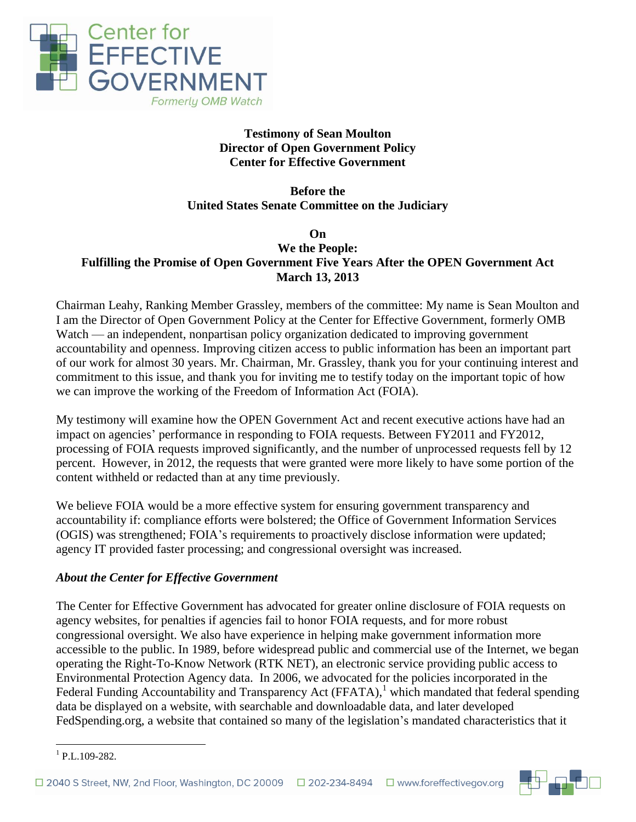

# **Testimony of Sean Moulton Director of Open Government Policy Center for Effective Government**

**Before the United States Senate Committee on the Judiciary**

### **On We the People: Fulfilling the Promise of Open Government Five Years After the OPEN Government Act March 13, 2013**

Chairman Leahy, Ranking Member Grassley, members of the committee: My name is Sean Moulton and I am the Director of Open Government Policy at the Center for Effective Government, formerly OMB Watch — an independent, nonpartisan policy organization dedicated to improving government accountability and openness. Improving citizen access to public information has been an important part of our work for almost 30 years. Mr. Chairman, Mr. Grassley, thank you for your continuing interest and commitment to this issue, and thank you for inviting me to testify today on the important topic of how we can improve the working of the Freedom of Information Act (FOIA).

My testimony will examine how the OPEN Government Act and recent executive actions have had an impact on agencies' performance in responding to FOIA requests. Between FY2011 and FY2012, processing of FOIA requests improved significantly, and the number of unprocessed requests fell by 12 percent. However, in 2012, the requests that were granted were more likely to have some portion of the content withheld or redacted than at any time previously.

We believe FOIA would be a more effective system for ensuring government transparency and accountability if: compliance efforts were bolstered; the Office of Government Information Services (OGIS) was strengthened; FOIA's requirements to proactively disclose information were updated; agency IT provided faster processing; and congressional oversight was increased.

# *About the Center for Effective Government*

The Center for Effective Government has advocated for greater online disclosure of FOIA requests on agency websites, for penalties if agencies fail to honor FOIA requests, and for more robust congressional oversight. We also have experience in helping make government information more accessible to the public. In 1989, before widespread public and commercial use of the Internet, we began operating the Right-To-Know Network (RTK NET), an electronic service providing public access to Environmental Protection Agency data. In 2006, we advocated for the policies incorporated in the Federal Funding Accountability and Transparency Act (FFATA),<sup>1</sup> which mandated that federal spending data be displayed on a website, with searchable and downloadable data, and later developed FedSpending.org, a website that contained so many of the legislation's mandated characteristics that it



<sup>1</sup> 1 P.L.109-282.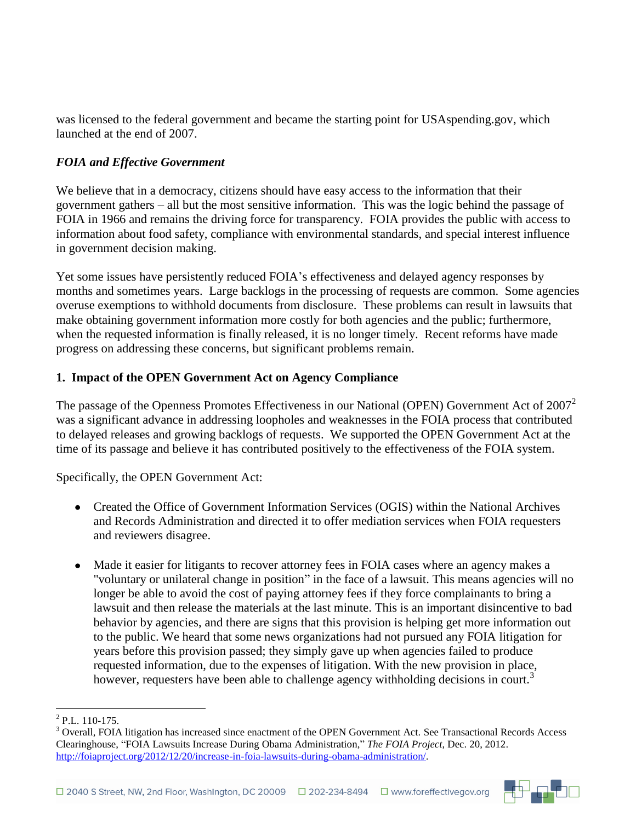was licensed to the federal government and became the starting point for USAspending.gov, which launched at the end of 2007.

### *FOIA and Effective Government*

We believe that in a democracy, citizens should have easy access to the information that their government gathers – all but the most sensitive information. This was the logic behind the passage of FOIA in 1966 and remains the driving force for transparency. FOIA provides the public with access to information about food safety, compliance with environmental standards, and special interest influence in government decision making.

Yet some issues have persistently reduced FOIA's effectiveness and delayed agency responses by months and sometimes years. Large backlogs in the processing of requests are common. Some agencies overuse exemptions to withhold documents from disclosure. These problems can result in lawsuits that make obtaining government information more costly for both agencies and the public; furthermore, when the requested information is finally released, it is no longer timely. Recent reforms have made progress on addressing these concerns, but significant problems remain.

#### **1. Impact of the OPEN Government Act on Agency Compliance**

The passage of the Openness Promotes Effectiveness in our National (OPEN) Government Act of  $2007<sup>2</sup>$ was a significant advance in addressing loopholes and weaknesses in the FOIA process that contributed to delayed releases and growing backlogs of requests. We supported the OPEN Government Act at the time of its passage and believe it has contributed positively to the effectiveness of the FOIA system.

Specifically, the OPEN Government Act:

- Created the Office of Government Information Services (OGIS) within the National Archives and Records Administration and directed it to offer mediation services when FOIA requesters and reviewers disagree.
- Made it easier for litigants to recover attorney fees in FOIA cases where an agency makes a "voluntary or unilateral change in position" in the face of a lawsuit. This means agencies will no longer be able to avoid the cost of paying attorney fees if they force complainants to bring a lawsuit and then release the materials at the last minute. This is an important disincentive to bad behavior by agencies, and there are signs that this provision is helping get more information out to the public. We heard that some news organizations had not pursued any FOIA litigation for years before this provision passed; they simply gave up when agencies failed to produce requested information, due to the expenses of litigation. With the new provision in place, however, requesters have been able to challenge agency withholding decisions in court.<sup>3</sup>



 2 P.L. 110-175.

<sup>&</sup>lt;sup>3</sup> Overall, FOIA litigation has increased since enactment of the OPEN Government Act. See Transactional Records Access Clearinghouse, "FOIA Lawsuits Increase During Obama Administration," *The FOIA Project*, Dec. 20, 2012. [http://foiaproject.org/2012/12/20/increase-in-foia-lawsuits-during-obama-administration/.](http://foiaproject.org/2012/12/20/increase-in-foia-lawsuits-during-obama-administration/)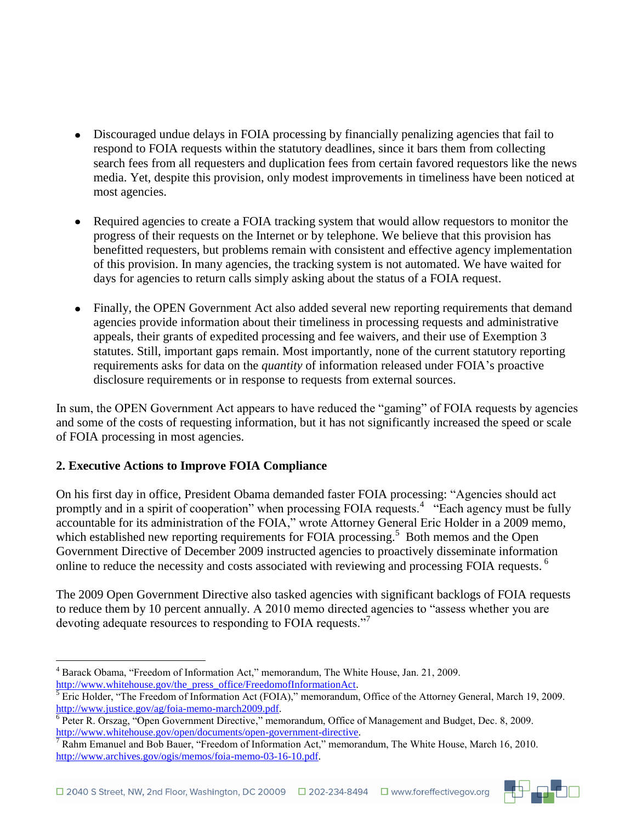- Discouraged undue delays in FOIA processing by financially penalizing agencies that fail to respond to FOIA requests within the statutory deadlines, since it bars them from collecting search fees from all requesters and duplication fees from certain favored requestors like the news media. Yet, despite this provision, only modest improvements in timeliness have been noticed at most agencies.
- Required agencies to create a FOIA tracking system that would allow requestors to monitor the progress of their requests on the Internet or by telephone. We believe that this provision has benefitted requesters, but problems remain with consistent and effective agency implementation of this provision. In many agencies, the tracking system is not automated. We have waited for days for agencies to return calls simply asking about the status of a FOIA request.
- Finally, the OPEN Government Act also added several new reporting requirements that demand agencies provide information about their timeliness in processing requests and administrative appeals, their grants of expedited processing and fee waivers, and their use of Exemption 3 statutes. Still, important gaps remain. Most importantly, none of the current statutory reporting requirements asks for data on the *quantity* of information released under FOIA's proactive disclosure requirements or in response to requests from external sources.

In sum, the OPEN Government Act appears to have reduced the "gaming" of FOIA requests by agencies and some of the costs of requesting information, but it has not significantly increased the speed or scale of FOIA processing in most agencies.

# **2. Executive Actions to Improve FOIA Compliance**

On his first day in office, President Obama demanded faster FOIA processing: "Agencies should act promptly and in a spirit of cooperation" when processing FOIA requests.<sup>4</sup> "Each agency must be fully accountable for its administration of the FOIA," wrote Attorney General Eric Holder in a 2009 memo, which established new reporting requirements for FOIA processing.<sup>5</sup> Both memos and the Open Government Directive of December 2009 instructed agencies to proactively disseminate information online to reduce the necessity and costs associated with reviewing and processing FOIA requests.<sup>6</sup>

The 2009 Open Government Directive also tasked agencies with significant backlogs of FOIA requests to reduce them by 10 percent annually. A 2010 memo directed agencies to "assess whether you are devoting adequate resources to responding to FOIA requests."<sup>7</sup>



<sup>1</sup> <sup>4</sup> Barack Obama, "Freedom of Information Act," memorandum, The White House, Jan. 21, 2009. [http://www.whitehouse.gov/the\\_press\\_office/FreedomofInformationAct.](http://www.whitehouse.gov/the_press_office/FreedomofInformationAct)

<sup>5</sup> Eric Holder, "The Freedom of Information Act (FOIA)," memorandum, Office of the Attorney General, March 19, 2009. [http://www.justice.gov/ag/foia-memo-march2009.pdf.](http://www.justice.gov/ag/foia-memo-march2009.pdf)

<sup>6</sup> Peter R. Orszag, "Open Government Directive," memorandum, Office of Management and Budget, Dec. 8, 2009. [http://www.whitehouse.gov/open/documents/open-government-directive.](http://www.whitehouse.gov/open/documents/open-government-directive)

<sup>7</sup> Rahm Emanuel and Bob Bauer, "Freedom of Information Act," memorandum, The White House, March 16, 2010. [http://www.archives.gov/ogis/memos/foia-memo-03-16-10.pdf.](http://www.archives.gov/ogis/memos/foia-memo-03-16-10.pdf)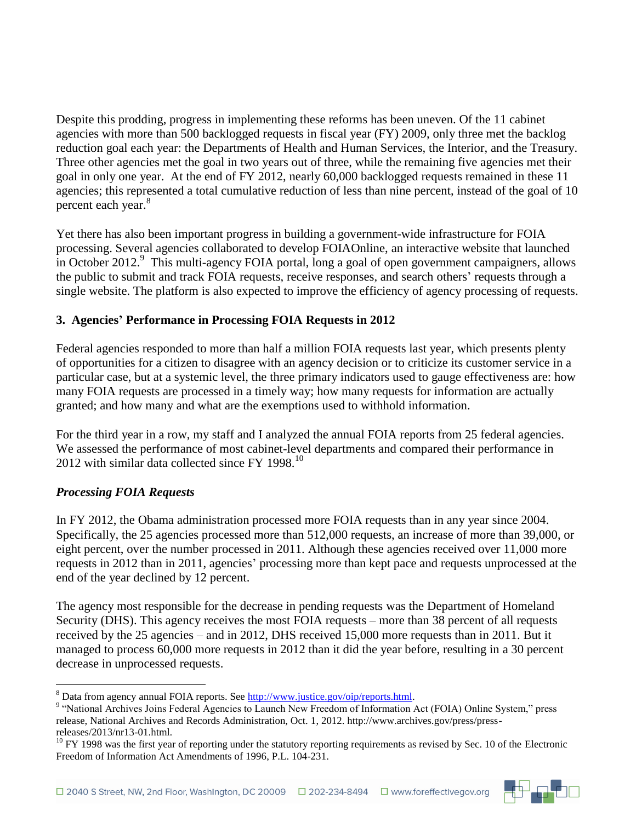Despite this prodding, progress in implementing these reforms has been uneven. Of the 11 cabinet agencies with more than 500 backlogged requests in fiscal year (FY) 2009, only three met the backlog reduction goal each year: the Departments of Health and Human Services, the Interior, and the Treasury. Three other agencies met the goal in two years out of three, while the remaining five agencies met their goal in only one year. At the end of FY 2012, nearly 60,000 backlogged requests remained in these 11 agencies; this represented a total cumulative reduction of less than nine percent, instead of the goal of 10 percent each year.<sup>8</sup>

Yet there has also been important progress in building a government-wide infrastructure for FOIA processing. Several agencies collaborated to develop FOIAOnline, an interactive website that launched in October 2012.<sup>9</sup> This multi-agency FOIA portal, long a goal of open government campaigners, allows the public to submit and track FOIA requests, receive responses, and search others' requests through a single website. The platform is also expected to improve the efficiency of agency processing of requests.

## **3. Agencies' Performance in Processing FOIA Requests in 2012**

Federal agencies responded to more than half a million FOIA requests last year, which presents plenty of opportunities for a citizen to disagree with an agency decision or to criticize its customer service in a particular case, but at a systemic level, the three primary indicators used to gauge effectiveness are: how many FOIA requests are processed in a timely way; how many requests for information are actually granted; and how many and what are the exemptions used to withhold information.

For the third year in a row, my staff and I analyzed the annual FOIA reports from 25 federal agencies. We assessed the performance of most cabinet-level departments and compared their performance in 2012 with similar data collected since FY 1998.<sup>10</sup>

# *Processing FOIA Requests*

1

In FY 2012, the Obama administration processed more FOIA requests than in any year since 2004. Specifically, the 25 agencies processed more than 512,000 requests, an increase of more than 39,000, or eight percent, over the number processed in 2011. Although these agencies received over 11,000 more requests in 2012 than in 2011, agencies' processing more than kept pace and requests unprocessed at the end of the year declined by 12 percent.

The agency most responsible for the decrease in pending requests was the Department of Homeland Security (DHS). This agency receives the most FOIA requests – more than 38 percent of all requests received by the 25 agencies – and in 2012, DHS received 15,000 more requests than in 2011. But it managed to process 60,000 more requests in 2012 than it did the year before, resulting in a 30 percent decrease in unprocessed requests.



<sup>&</sup>lt;sup>8</sup> Data from agency annual FOIA reports. See [http://www.justice.gov/oip/reports.html.](http://www.justice.gov/oip/reports.html)

<sup>&</sup>lt;sup>9</sup> "National Archives Joins Federal Agencies to Launch New Freedom of Information Act (FOIA) Online System," press release, National Archives and Records Administration, Oct. 1, 2012. http://www.archives.gov/press/pressreleases/2013/nr13-01.html.

 $10$  FY 1998 was the first year of reporting under the statutory reporting requirements as revised by Sec. 10 of the Electronic Freedom of Information Act Amendments of 1996, P.L. 104-231.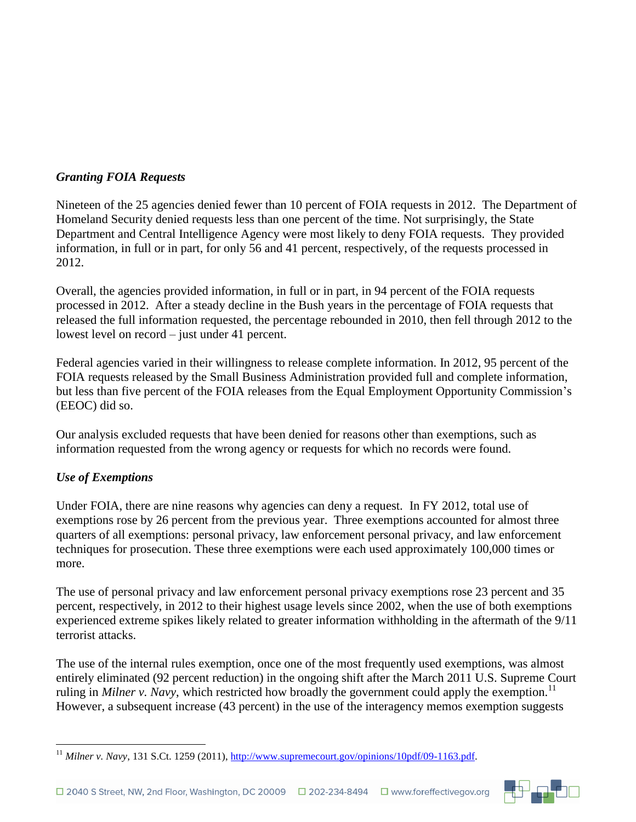### *Granting FOIA Requests*

Nineteen of the 25 agencies denied fewer than 10 percent of FOIA requests in 2012. The Department of Homeland Security denied requests less than one percent of the time. Not surprisingly, the State Department and Central Intelligence Agency were most likely to deny FOIA requests. They provided information, in full or in part, for only 56 and 41 percent, respectively, of the requests processed in 2012.

Overall, the agencies provided information, in full or in part, in 94 percent of the FOIA requests processed in 2012. After a steady decline in the Bush years in the percentage of FOIA requests that released the full information requested, the percentage rebounded in 2010, then fell through 2012 to the lowest level on record – just under 41 percent.

Federal agencies varied in their willingness to release complete information. In 2012, 95 percent of the FOIA requests released by the Small Business Administration provided full and complete information, but less than five percent of the FOIA releases from the Equal Employment Opportunity Commission's (EEOC) did so.

Our analysis excluded requests that have been denied for reasons other than exemptions, such as information requested from the wrong agency or requests for which no records were found.

# *Use of Exemptions*

Under FOIA, there are nine reasons why agencies can deny a request. In FY 2012, total use of exemptions rose by 26 percent from the previous year. Three exemptions accounted for almost three quarters of all exemptions: personal privacy, law enforcement personal privacy, and law enforcement techniques for prosecution. These three exemptions were each used approximately 100,000 times or more.

The use of personal privacy and law enforcement personal privacy exemptions rose 23 percent and 35 percent, respectively, in 2012 to their highest usage levels since 2002, when the use of both exemptions experienced extreme spikes likely related to greater information withholding in the aftermath of the 9/11 terrorist attacks.

The use of the internal rules exemption, once one of the most frequently used exemptions, was almost entirely eliminated (92 percent reduction) in the ongoing shift after the March 2011 U.S. Supreme Court ruling in *Milner v. Navy*, which restricted how broadly the government could apply the exemption.<sup>11</sup> However, a subsequent increase (43 percent) in the use of the interagency memos exemption suggests



<sup>1</sup> <sup>11</sup> *Milner v. Navy*, 131 S.Ct. 1259 (2011), [http://www.supremecourt.gov/opinions/10pdf/09-1163.pdf.](http://www.supremecourt.gov/opinions/10pdf/09-1163.pdf)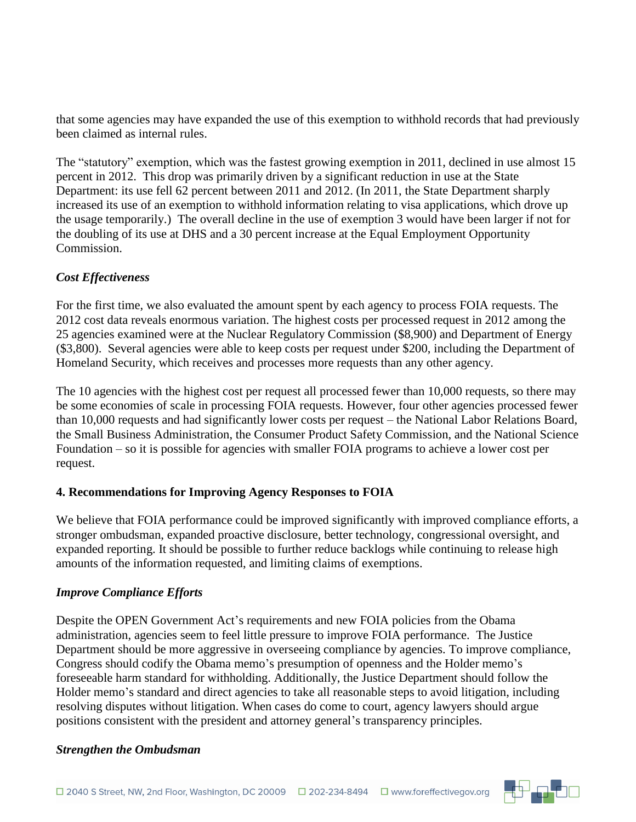that some agencies may have expanded the use of this exemption to withhold records that had previously been claimed as internal rules.

The "statutory" exemption, which was the fastest growing exemption in 2011, declined in use almost 15 percent in 2012. This drop was primarily driven by a significant reduction in use at the State Department: its use fell 62 percent between 2011 and 2012. (In 2011, the State Department sharply increased its use of an exemption to withhold information relating to visa applications, which drove up the usage temporarily.) The overall decline in the use of exemption 3 would have been larger if not for the doubling of its use at DHS and a 30 percent increase at the Equal Employment Opportunity Commission.

### *Cost Effectiveness*

For the first time, we also evaluated the amount spent by each agency to process FOIA requests. The 2012 cost data reveals enormous variation. The highest costs per processed request in 2012 among the 25 agencies examined were at the Nuclear Regulatory Commission (\$8,900) and Department of Energy (\$3,800). Several agencies were able to keep costs per request under \$200, including the Department of Homeland Security, which receives and processes more requests than any other agency.

The 10 agencies with the highest cost per request all processed fewer than 10,000 requests, so there may be some economies of scale in processing FOIA requests. However, four other agencies processed fewer than 10,000 requests and had significantly lower costs per request – the National Labor Relations Board, the Small Business Administration, the Consumer Product Safety Commission, and the National Science Foundation – so it is possible for agencies with smaller FOIA programs to achieve a lower cost per request.

### **4. Recommendations for Improving Agency Responses to FOIA**

We believe that FOIA performance could be improved significantly with improved compliance efforts, a stronger ombudsman, expanded proactive disclosure, better technology, congressional oversight, and expanded reporting. It should be possible to further reduce backlogs while continuing to release high amounts of the information requested, and limiting claims of exemptions.

### *Improve Compliance Efforts*

Despite the OPEN Government Act's requirements and new FOIA policies from the Obama administration, agencies seem to feel little pressure to improve FOIA performance. The Justice Department should be more aggressive in overseeing compliance by agencies. To improve compliance, Congress should codify the Obama memo's presumption of openness and the Holder memo's foreseeable harm standard for withholding. Additionally, the Justice Department should follow the Holder memo's standard and direct agencies to take all reasonable steps to avoid litigation, including resolving disputes without litigation. When cases do come to court, agency lawyers should argue positions consistent with the president and attorney general's transparency principles.

#### *Strengthen the Ombudsman*

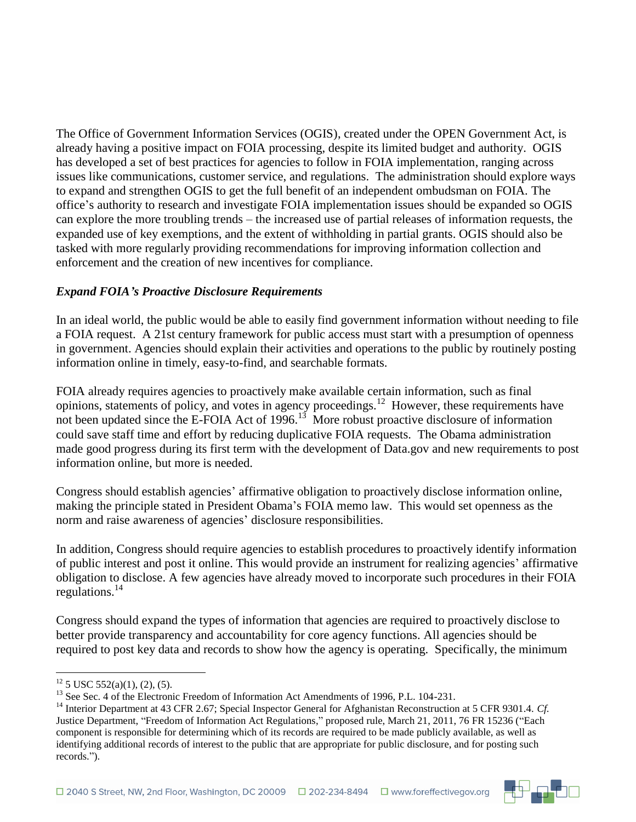The Office of Government Information Services (OGIS), created under the OPEN Government Act, is already having a positive impact on FOIA processing, despite its limited budget and authority. OGIS has developed a set of best practices for agencies to follow in FOIA implementation, ranging across issues like communications, customer service, and regulations. The administration should explore ways to expand and strengthen OGIS to get the full benefit of an independent ombudsman on FOIA. The office's authority to research and investigate FOIA implementation issues should be expanded so OGIS can explore the more troubling trends – the increased use of partial releases of information requests, the expanded use of key exemptions, and the extent of withholding in partial grants. OGIS should also be tasked with more regularly providing recommendations for improving information collection and enforcement and the creation of new incentives for compliance.

### *Expand FOIA's Proactive Disclosure Requirements*

In an ideal world, the public would be able to easily find government information without needing to file a FOIA request. A 21st century framework for public access must start with a presumption of openness in government. Agencies should explain their activities and operations to the public by routinely posting information online in timely, easy-to-find, and searchable formats.

FOIA already requires agencies to proactively make available certain information, such as final opinions, statements of policy, and votes in agency proceedings.<sup>12</sup> However, these requirements have not been updated since the E-FOIA Act of 1996.<sup>13</sup> More robust proactive disclosure of information could save staff time and effort by reducing duplicative FOIA requests. The Obama administration made good progress during its first term with the development of Data.gov and new requirements to post information online, but more is needed.

Congress should establish agencies' affirmative obligation to proactively disclose information online, making the principle stated in President Obama's FOIA memo law. This would set openness as the norm and raise awareness of agencies' disclosure responsibilities.

In addition, Congress should require agencies to establish procedures to proactively identify information of public interest and post it online. This would provide an instrument for realizing agencies' affirmative obligation to disclose. A few agencies have already moved to incorporate such procedures in their FOIA regulations.<sup>14</sup>

Congress should expand the types of information that agencies are required to proactively disclose to better provide transparency and accountability for core agency functions. All agencies should be required to post key data and records to show how the agency is operating. Specifically, the minimum

1



 $12$  5 USC 552(a)(1), (2), (5).

<sup>&</sup>lt;sup>13</sup> See Sec. 4 of the Electronic Freedom of Information Act Amendments of 1996, P.L. 104-231.

<sup>&</sup>lt;sup>14</sup> Interior Department at 43 CFR 2.67; Special Inspector General for Afghanistan Reconstruction at 5 CFR 9301.4. *Cf.* Justice Department, "Freedom of Information Act Regulations," proposed rule, March 21, 2011, 76 FR 15236 ("Each component is responsible for determining which of its records are required to be made publicly available, as well as identifying additional records of interest to the public that are appropriate for public disclosure, and for posting such records.").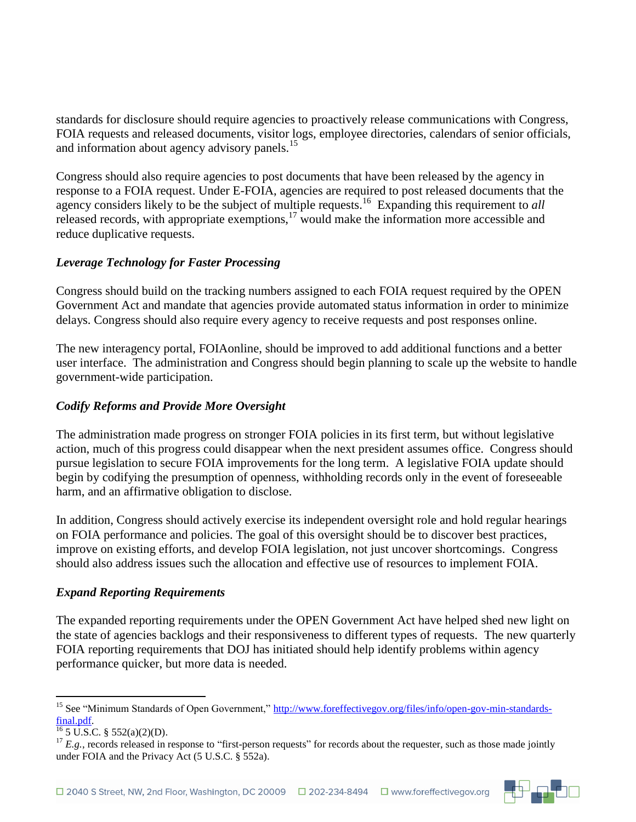standards for disclosure should require agencies to proactively release communications with Congress, FOIA requests and released documents, visitor logs, employee directories, calendars of senior officials, and information about agency advisory panels.<sup>15</sup>

Congress should also require agencies to post documents that have been released by the agency in response to a FOIA request. Under E-FOIA, agencies are required to post released documents that the agency considers likely to be the subject of multiple requests.<sup>16</sup> Expanding this requirement to *all*  released records, with appropriate exemptions, $17$  would make the information more accessible and reduce duplicative requests.

## *Leverage Technology for Faster Processing*

Congress should build on the tracking numbers assigned to each FOIA request required by the OPEN Government Act and mandate that agencies provide automated status information in order to minimize delays. Congress should also require every agency to receive requests and post responses online.

The new interagency portal, FOIAonline, should be improved to add additional functions and a better user interface. The administration and Congress should begin planning to scale up the website to handle government-wide participation.

## *Codify Reforms and Provide More Oversight*

The administration made progress on stronger FOIA policies in its first term, but without legislative action, much of this progress could disappear when the next president assumes office. Congress should pursue legislation to secure FOIA improvements for the long term. A legislative FOIA update should begin by codifying the presumption of openness, withholding records only in the event of foreseeable harm, and an affirmative obligation to disclose.

In addition, Congress should actively exercise its independent oversight role and hold regular hearings on FOIA performance and policies. The goal of this oversight should be to discover best practices, improve on existing efforts, and develop FOIA legislation, not just uncover shortcomings. Congress should also address issues such the allocation and effective use of resources to implement FOIA.

### *Expand Reporting Requirements*

The expanded reporting requirements under the OPEN Government Act have helped shed new light on the state of agencies backlogs and their responsiveness to different types of requests. The new quarterly FOIA reporting requirements that DOJ has initiated should help identify problems within agency performance quicker, but more data is needed.

1



<sup>&</sup>lt;sup>15</sup> See "Minimum Standards of Open Government," [http://www.foreffectivegov.org/files/info/open-gov-min-standards](http://www.foreffectivegov.org/files/info/open-gov-min-standards-final.pdf)[final.pdf.](http://www.foreffectivegov.org/files/info/open-gov-min-standards-final.pdf)

 $\frac{16}{6}$  5 U.S.C. § 552(a)(2)(D).

 $17$  *E.g.*, records released in response to "first-person requests" for records about the requester, such as those made jointly under FOIA and the Privacy Act (5 U.S.C. § 552a).